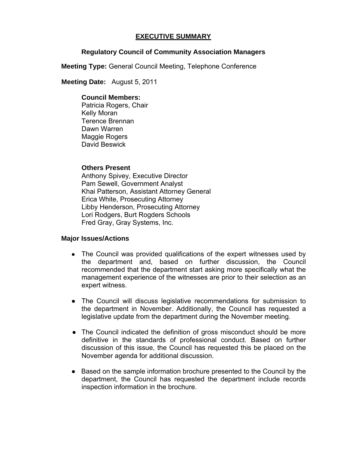# **EXECUTIVE SUMMARY**

# **Regulatory Council of Community Association Managers**

**Meeting Type:** General Council Meeting, Telephone Conference

 **Meeting Date:** August 5, 2011

#### **Council Members:**

Patricia Rogers, Chair Kelly Moran Terence Brennan Dawn Warren Maggie Rogers David Beswick

## **Others Present**

Anthony Spivey, Executive Director Pam Sewell, Government Analyst Khai Patterson, Assistant Attorney General Erica White, Prosecuting Attorney Libby Henderson, Prosecuting Attorney Lori Rodgers, Burt Rogders Schools Fred Gray, Gray Systems, Inc.

## **Major Issues/Actions**

- The Council was provided qualifications of the expert witnesses used by the department and, based on further discussion, the Council recommended that the department start asking more specifically what the management experience of the witnesses are prior to their selection as an expert witness.
- The Council will discuss legislative recommendations for submission to the department in November. Additionally, the Council has requested a legislative update from the department during the November meeting.
- The Council indicated the definition of gross misconduct should be more definitive in the standards of professional conduct. Based on further discussion of this issue, the Council has requested this be placed on the November agenda for additional discussion.
- Based on the sample information brochure presented to the Council by the department, the Council has requested the department include records inspection information in the brochure.